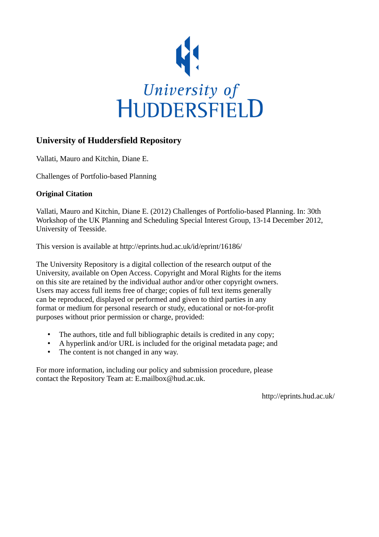

# **University of Huddersfield Repository**

Vallati, Mauro and Kitchin, Diane E.

Challenges of Portfolio-based Planning

## **Original Citation**

Vallati, Mauro and Kitchin, Diane E. (2012) Challenges of Portfolio-based Planning. In: 30th Workshop of the UK Planning and Scheduling Special Interest Group, 13-14 December 2012, University of Teesside.

This version is available at http://eprints.hud.ac.uk/id/eprint/16186/

The University Repository is a digital collection of the research output of the University, available on Open Access. Copyright and Moral Rights for the items on this site are retained by the individual author and/or other copyright owners. Users may access full items free of charge; copies of full text items generally can be reproduced, displayed or performed and given to third parties in any format or medium for personal research or study, educational or not-for-profit purposes without prior permission or charge, provided:

- The authors, title and full bibliographic details is credited in any copy;
- A hyperlink and/or URL is included for the original metadata page; and
- The content is not changed in any way.

For more information, including our policy and submission procedure, please contact the Repository Team at: E.mailbox@hud.ac.uk.

http://eprints.hud.ac.uk/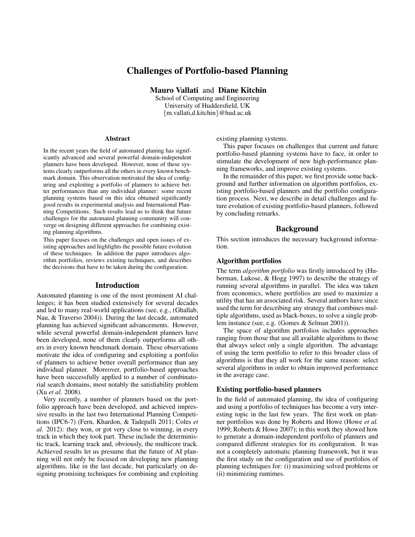## Challenges of Portfolio-based Planning

Mauro Vallati and Diane Kitchin

School of Computing and Engineering University of Huddersfield, UK {m.vallati,d.kitchin}@hud.ac.uk

### Abstract

In the recent years the field of automated planing has significantly advanced and several powerful domain-independent planners have been developed. However, none of these systems clearly outperforms all the others in every known benchmark domain. This observation motivated the idea of configuring and exploiting a portfolio of planners to achieve better performances than any individual planner: some recent planning systems based on this idea obtained significantly good results in experimental analysis and International Planning Competitions. Such results lead us to think that future challenges for the automated planning community will converge on designing different approaches for combining existing planning algorithms.

This paper focuses on the challenges and open issues of existing approaches and highlights the possible future evolution of these techniques. In addition the paper introduces algorithm portfolios, reviews existing techniques, and describes the decisions that have to be taken during the configuration.

#### Introduction

Automated planning is one of the most prominent AI challenges; it has been studied extensively for several decades and led to many real-world applications (see, e.g., (Ghallab, Nau, & Traverso 2004)). During the last decade, automated planning has achieved significant advancements. However, while several powerful domain-independent planners have been developed, none of them clearly outperforms all others in every known benchmark domain. These observations motivate the idea of configuring and exploiting a portfolio of planners to achieve better overall performance than any individual planner. Moreover, portfolio-based approaches have been successfully applied to a number of combinatorial search domains, most notably the satisfiability problem (Xu *et al.* 2008).

Very recently, a number of planners based on the portfolio approach have been developed, and achieved impressive results in the last two International Planning Competitions (IPC6-7) (Fern, Khardon, & Tadepalli 2011; Coles *et al.* 2012): they won, or got very close to winning, in every track in which they took part. These include the deterministic track, learning track and, obviously, the multicore track. Achieved results let us presume that the future of AI planning will not only be focused on developing new planning algorithms, like in the last decade, but particularly on designing promising techniques for combining and exploiting existing planning systems.

This paper focuses on challenges that current and future portfolio-based planning systems have to face, in order to stimulate the development of new high-performance planning frameworks, and improve existing systems.

In the remainder of this paper, we first provide some background and further information on algorithm portfolios, existing portfolio-based planners and the portfolio configuration process. Next, we describe in detail challenges and future evolution of existing portfolio-based planners, followed by concluding remarks.

#### Background

This section introduces the necessary background information.

## Algorithm portfolios

The term *algorithm portfolio* was firstly introduced by (Huberman, Lukose, & Hogg 1997) to describe the strategy of running several algorithms in parallel. The idea was taken from economics, where portfolios are used to maximize a utility that has an associated risk. Several authors have since used the term for describing any strategy that combines multiple algorithms, used as black-boxes, to solve a single problem instance (see, e.g. (Gomes & Selman 2001)).

The space of algorithm portfolios includes approaches ranging from those that use all available algorithms to those that always select only a single algorithm. The advantage of using the term portfolio to refer to this broader class of algorithms is that they all work for the same reason: select several algorithms in order to obtain improved performance in the average case.

#### Existing portfolio-based planners

In the field of automated planning, the idea of configuring and using a portfolio of techniques has become a very interesting topic in the last few years. The first work on planner portfolios was done by Roberts and Howe (Howe *et al.* 1999; Roberts & Howe 2007); in this work they showed how to generate a domain-independent portfolio of planners and compared different strategies for its configuration. It was not a completely automatic planning framework, but it was the first study on the configuration and use of portfolios of planning techniques for: (i) maximizing solved problems or (ii) minimizing runtimes.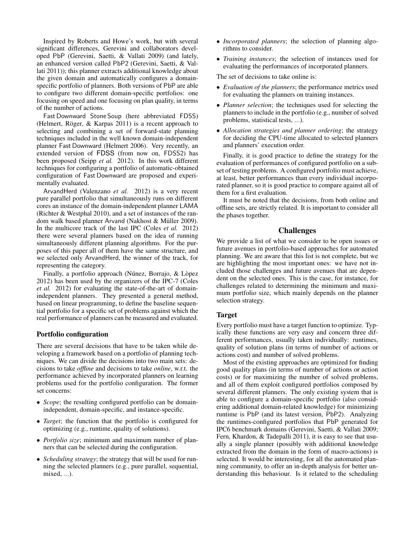Inspired by Roberts and Howe's work, but with several significant differences, Gerevini and collaborators developed PbP (Gerevini, Saetti, & Vallati 2009) (and lately, an enhanced version called PbP2 (Gerevini, Saetti, & Vallati 2011)); this planner extracts additional knowledge about the given domain and automatically configures a domainspecific portfolio of planners. Both versions of PbP are able to configure two different domain-specific portfolios: one focusing on speed and one focusing on plan quality, in terms of the number of actions.

Fast Downward Stone Soup (here abbreviated FDSS) (Helmert, Röger,  $&$  Karpas 2011) is a recent approach to selecting and combining a set of forward-state planning techniques included in the well known domain-independent planner Fast Downward (Helmert 2006). Very recently, an extended version of FDSS (from now on, FDSS2) has been proposed (Seipp *et al.* 2012). In this work different techniques for configuring a portfolio of automatic-obtained configuration of Fast Downward are proposed and experimentally evaluated.

ArvandHerd (Valenzano *et al.* 2012) is a very recent pure parallel portfolio that simultaneously runs on different cores an instance of the domain-independent planner LAMA (Richter & Westphal 2010), and a set of instances of the random walk based planner Arvand (Nakhost & Müller 2009). In the multicore track of the last IPC (Coles *et al.* 2012) there were several planners based on the idea of running simultaneously different planning algorithms. For the purposes of this paper all of them have the same structure, and we selected only ArvandHerd, the winner of the track, for representing the category.

Finally, a portfolio approach (Núnez, Borrajo, & Lòpez 2012) has been used by the organizers of the IPC-7 (Coles *et al.* 2012) for evaluating the state-of-the-art of domainindependent planners. They presented a general method, based on linear programming, to define the baseline sequential portfolio for a specific set of problems against which the real performance of planners can be measured and evaluated.

#### Portfolio configuration

There are several decisions that have to be taken while developing a framework based on a portfolio of planning techniques. We can divide the decisions into two main sets: decisions to take *offline* and decisions to take *online*, w.r.t. the performance achieved by incorporated planners on learning problems used for the portfolio configuration. The former set concerns:

- *Scope*; the resulting configured portfolio can be domainindependent, domain-specific, and instance-specific.
- *Target*; the function that the portfolio is configured for optimizing (e.g., runtime, quality of solutions).
- *Portfolio size*; minimum and maximum number of planners that can be selected during the configuration.
- *Scheduling strategy*; the strategy that will be used for running the selected planners (e.g., pure parallel, sequential, mixed, ...).
- *Incorporated planners*; the selection of planning algorithms to consider.
- *Training instances*; the selection of instances used for evaluating the performances of incorporated planners.

The set of decisions to take online is:

- *Evaluation of the planners*; the performance metrics used for evaluating the planners on training instances.
- *Planner selection*; the techniques used for selecting the planners to include in the portfolio (e.g., number of solved problems, statistical tests, ...).
- *Allocation strategies and planner ordering*; the strategy for deciding the CPU-time allocated to selected planners and planners' execution order.

Finally, it is good practice to define the strategy for the evaluation of performances of configured portfolio on a subset of testing problems. A configured portfolio must achieve, at least, better performances than every individual incorporated planner, so it is good practice to compare against all of them for a first evaluation.

It must be noted that the decisions, from both online and offline sets, are strictly related. It is important to consider all the phases together.

## Challenges

We provide a list of what we consider to be open issues or future avenues in portfolio-based approaches for automated planning. We are aware that this list is not complete, but we are highlighting the most important ones: we have not included those challenges and future avenues that are dependent on the selected ones. This is the case, for instance, for challenges related to determining the minimum and maximum portfolio size, which mainly depends on the planner selection strategy.

#### Target

Every portfolio must have a target function to optimize. Typically these functions are very easy and concern three different performances, usually taken individually: runtimes, quality of solution plans (in terms of number of actions or actions cost) and number of solved problems.

Most of the existing approaches are optimized for finding good quality plans (in terms of number of actions or action costs) or for maximizing the number of solved problems, and all of them exploit configured portfolios composed by several different planners. The only existing system that is able to configure a domain-specific portfolio (also considering additional domain-related knowledge) for minimizing runtime is PbP (and its latest version, PbP2). Analyzing the runtimes-configured portfolios that PbP generated for IPC6 benchmark domains (Gerevini, Saetti, & Vallati 2009; Fern, Khardon, & Tadepalli 2011), it is easy to see that usually a single planner (possibly with additional knowledge extracted from the domain in the form of macro-actions) is selected. It would be interesting, for all the automated planning community, to offer an in-depth analysis for better understanding this behaviour. Is it related to the scheduling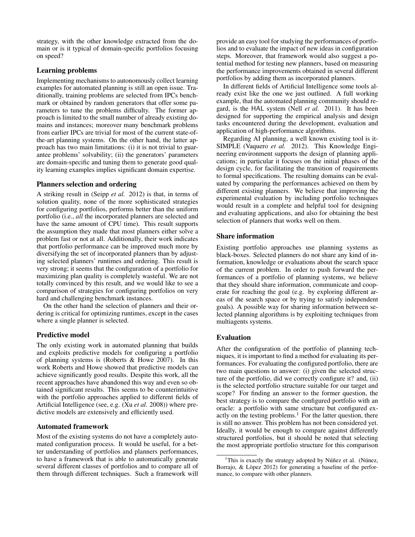strategy, with the other knowledge extracted from the domain or is it typical of domain-specific portfolios focusing on speed?

## Learning problems

Implementing mechanisms to autonomously collect learning examples for automated planning is still an open issue. Traditionally, training problems are selected from IPCs benchmark or obtained by random generators that offer some parameters to tune the problems difficulty. The former approach is limited to the small number of already existing domains and instances; moreover many benchmark problems from earlier IPCs are trivial for most of the current state-ofthe-art planning systems. On the other hand, the latter approach has two main limitations: (i) it is not trivial to guarantee problems' solvability; (ii) the generators' parameters are domain-specific and tuning them to generate good quality learning examples implies significant domain expertise.

## Planners selection and ordering

A striking result in (Seipp *et al.* 2012) is that, in terms of solution quality, none of the more sophisticated strategies for configuring portfolios, performs better than the uniform portfolio (i.e., *all* the incorporated planners are selected and have the same amount of CPU time). This result supports the assumption they made that most planners either solve a problem fast or not at all. Additionally, their work indicates that portfolio performance can be improved much more by diversifying the set of incorporated planners than by adjusting selected planners' runtimes and ordering. This result is very strong; it seems that the configuration of a portfolio for maximizing plan quality is completely wasteful. We are not totally convinced by this result, and we would like to see a comparison of strategies for configuring portfolios on very hard and challenging benchmark instances.

On the other hand the selection of planners and their ordering is critical for optimizing runtimes, except in the cases where a single planner is selected.

## Predictive model

The only existing work in automated planning that builds and exploits predictive models for configuring a portfolio of planning systems is (Roberts & Howe 2007). In this work Roberts and Howe showed that predictive models can achieve significantly good results. Despite this work, all the recent approaches have abandoned this way and even so obtained significant results. This seems to be counterintuitive with the portfolio approaches applied to different fields of Artificial Intelligence (see, e.g. (Xu *et al.* 2008)) where predictive models are extensively and efficiently used.

## Automated framework

Most of the existing systems do not have a completely automated configuration process. It would be useful, for a better understanding of portfolios and planners performances, to have a framework that is able to automatically generate several different classes of portfolios and to compare all of them through different techniques. Such a framework will provide an easy tool for studying the performances of portfolios and to evaluate the impact of new ideas in configuration steps. Moreover, that framework would also suggest a potential method for testing new planners, based on measuring the performance improvements obtained in several different portfolios by adding them as incorporated planners.

In different fields of Artificial Intelligence some tools already exist like the one we just outlined. A full working example, that the automated planning community should regard, is the HAL system (Nell *et al.* 2011). It has been designed for supporting the empirical analysis and design tasks encountered during the development, evaluation and application of high-performance algorithms.

Regarding AI planning, a well known existing tool is it-SIMPLE (Vaquero *et al.* 2012). This Knowledge Engineering environment supports the design of planning applications; in particular it focuses on the initial phases of the design cycle, for facilitating the transition of requirements to formal specifications. The resulting domains can be evaluated by comparing the performances achieved on them by different existing planners. We believe that improving the experimental evaluation by including portfolio techniques would result in a complete and helpful tool for designing and evaluating applications, and also for obtaining the best selection of planners that works well on them.

#### Share information

Existing portfolio approaches use planning systems as black-boxes. Selected planners do not share any kind of information, knowledge or evaluations about the search space of the current problem. In order to push forward the performances of a portfolio of planning systems, we believe that they should share information, communicate and cooperate for reaching the goal (e.g. by exploring different areas of the search space or by trying to satisfy independent goals). A possible way for sharing information between selected planning algorithms is by exploiting techniques from multiagents systems.

## Evaluation

After the configuration of the portfolio of planning techniques, it is important to find a method for evaluating its performances. For evaluating the configured portfolio, there are two main questions to answer: (i) given the selected structure of the portfolio, did we correctly configure it? and, (ii) is the selected portfolio structure suitable for our target and scope? For finding an answer to the former question, the best strategy is to compare the configured portfolio with an oracle: a portfolio with same structure but configured exactly on the testing problems. $<sup>1</sup>$  For the latter question, there</sup> is still no answer. This problem has not been considered yet. Ideally, it would be enough to compare against differently structured portfolios, but it should be noted that selecting the most appropriate portfolio structure for this comparison

<sup>&</sup>lt;sup>1</sup>This is exactly the strategy adopted by Núñez et al. (Núnez, Borrajo, & Lòpez 2012) for generating a baseline of the performance, to compare with other planners.